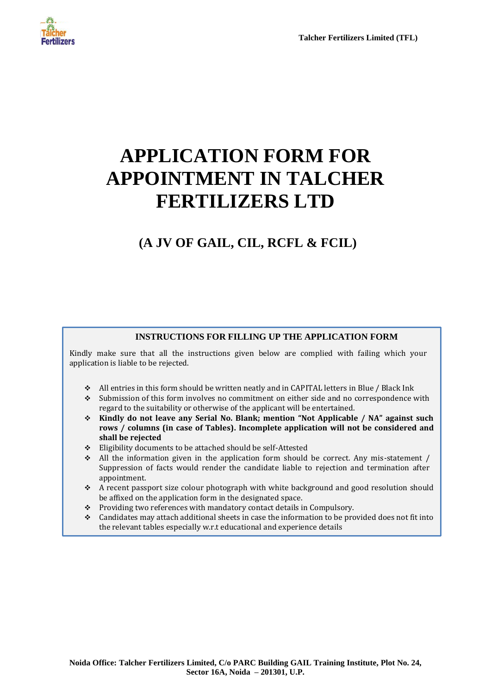

# **APPLICATION FORM FOR APPOINTMENT IN TALCHER FERTILIZERS LTD**

## **(A JV OF GAIL, CIL, RCFL & FCIL)**

#### **INSTRUCTIONS FOR FILLING UP THE APPLICATION FORM**

Kindly make sure that all the instructions given below are complied with failing which your application is liable to be rejected.

- All entries in this form should be written neatly and in CAPITAL letters in Blue / Black Ink
- Submission of this form involves no commitment on either side and no correspondence with regard to the suitability or otherwise of the applicant will be entertained.
- **Kindly do not leave any Serial No. Blank; mention "Not Applicable / NA" against such rows / columns (in case of Tables). Incomplete application will not be considered and shall be rejected**
- Eligibility documents to be attached should be self-Attested
- $\bullet$  All the information given in the application form should be correct. Any mis-statement / Suppression of facts would render the candidate liable to rejection and termination after appointment.
- A recent passport size colour photograph with white background and good resolution should be affixed on the application form in the designated space.
- \* Providing two references with mandatory contact details in Compulsory.
- Candidates may attach additional sheets in case the information to be provided does not fit into the relevant tables especially w.r.t educational and experience details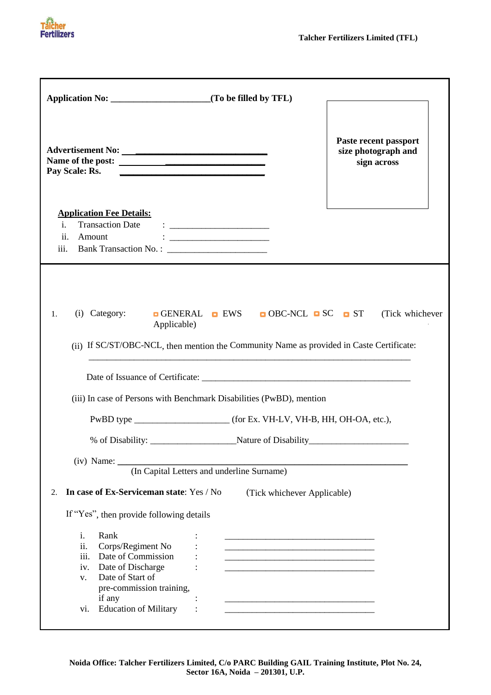

٦

| Advertisement No:<br>Name of the post:<br>Pay Scale: Rs.<br><u> 2000 - Jan James James James James James James James James James James James James James James James James J</u>                        | Paste recent passport<br>size photograph and<br>sign across |
|---------------------------------------------------------------------------------------------------------------------------------------------------------------------------------------------------------|-------------------------------------------------------------|
| <b>Application Fee Details:</b><br>$\mathbf{i}$ .<br>ii.<br>Amount<br><u> 1986 - Jan Barbara, martin a shekara 1986 - 1987 - 1988 - 1989 - 1989 - 1989 - 1989 - 1989 - 1989 - 1989 - 1</u><br>iii.      |                                                             |
| GENERAL EWS OBC-NCL SC ST (Tick whichever<br>(i) Category:<br>1.<br>Applicable)<br>(ii) If SC/ST/OBC-NCL, then mention the Community Name as provided in Caste Certificate:                             |                                                             |
| (iii) In case of Persons with Benchmark Disabilities (PwBD), mention                                                                                                                                    |                                                             |
|                                                                                                                                                                                                         |                                                             |
|                                                                                                                                                                                                         |                                                             |
| $(iv)$ Name: $\overline{\phantom{a}}$<br>(In Capital Letters and underline Surname)<br>In case of Ex-Serviceman state: Yes / No<br>2.<br>(Tick whichever Applicable)                                    |                                                             |
| If "Yes", then provide following details                                                                                                                                                                |                                                             |
| Rank<br>i.<br>ii.<br>Corps/Regiment No<br>iii.<br>Date of Commission<br>Date of Discharge<br>iv.<br>Date of Start of<br>V.<br>pre-commission training,<br>if any<br><b>Education of Military</b><br>V1. |                                                             |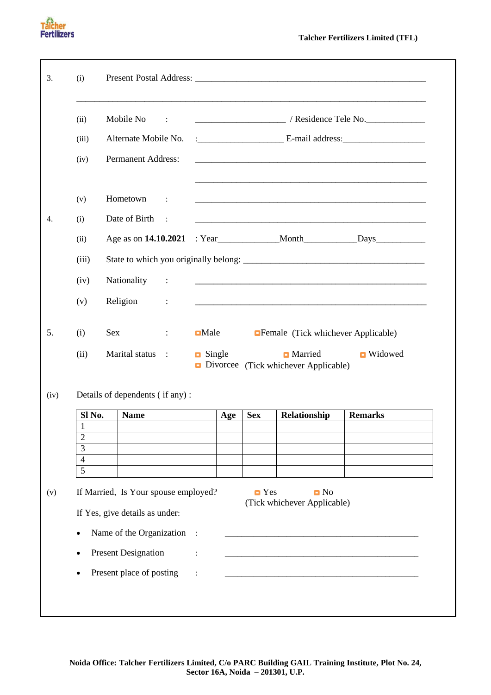| 3.   | (i)                            |                                                                        |                             |                                                                                                                                                                                                                                                                                                                                                                                                                               |                     |     |                    |                                                               |                                                                                                                       |
|------|--------------------------------|------------------------------------------------------------------------|-----------------------------|-------------------------------------------------------------------------------------------------------------------------------------------------------------------------------------------------------------------------------------------------------------------------------------------------------------------------------------------------------------------------------------------------------------------------------|---------------------|-----|--------------------|---------------------------------------------------------------|-----------------------------------------------------------------------------------------------------------------------|
|      | (ii)                           | Mobile No                                                              |                             | $\sim 100$                                                                                                                                                                                                                                                                                                                                                                                                                    |                     |     |                    |                                                               |                                                                                                                       |
|      | (iii)                          | Alternate Mobile No.                                                   |                             |                                                                                                                                                                                                                                                                                                                                                                                                                               |                     |     |                    |                                                               |                                                                                                                       |
|      | (iv)                           | <b>Permanent Address:</b>                                              |                             |                                                                                                                                                                                                                                                                                                                                                                                                                               |                     |     |                    |                                                               |                                                                                                                       |
|      | (v)                            | Hometown                                                               |                             | $\sim 100$                                                                                                                                                                                                                                                                                                                                                                                                                    |                     |     |                    |                                                               |                                                                                                                       |
| 4.   | (i)                            | Date of Birth                                                          |                             | $\sim$                                                                                                                                                                                                                                                                                                                                                                                                                        |                     |     |                    |                                                               |                                                                                                                       |
|      | (ii)                           |                                                                        |                             |                                                                                                                                                                                                                                                                                                                                                                                                                               |                     |     |                    |                                                               |                                                                                                                       |
|      | (iii)                          |                                                                        |                             |                                                                                                                                                                                                                                                                                                                                                                                                                               |                     |     |                    |                                                               | State to which you originally belong:                                                                                 |
|      | (iv)                           | Nationality                                                            |                             | $\sim 10$                                                                                                                                                                                                                                                                                                                                                                                                                     |                     |     |                    |                                                               | <u> 1989 - Johann Harry Harry Harry Harry Harry Harry Harry Harry Harry Harry Harry Harry Harry Harry Harry Harry</u> |
|      | (v)                            | Religion                                                               | $\sim$ $\sim$ $\sim$ $\sim$ |                                                                                                                                                                                                                                                                                                                                                                                                                               |                     |     |                    |                                                               | <u> 1989 - Johann Barn, mars an t-Amerikaansk komponister (* 1908)</u>                                                |
| 5.   | (i)                            | Sex                                                                    |                             | $\mathcal{I}^{\mathcal{I}^{\mathcal{I}^{\mathcal{I}^{\mathcal{I}^{\mathcal{I}^{\mathcal{I}^{\mathcal{I}^{\mathcal{I}^{\mathcal{I}^{\mathcal{I}^{\mathcal{I}^{\mathcal{I}^{\mathcal{I}^{\mathcal{I}^{\mathcal{I}^{\mathcal{I}^{\mathcal{I}^{\mathcal{I}^{\mathcal{I}^{\mathcal{I}^{\mathcal{I}^{\mathcal{I}^{\mathcal{I}^{\mathcal{I}^{\mathcal{I}^{\mathcal{I}^{\mathcal{I}^{\mathcal{I}^{\mathcal{I}^{\mathcal{I}^{\mathcal$ | $\blacksquare$ Male |     |                    | <b>Example (Tick whichever Applicable)</b>                    |                                                                                                                       |
|      | (ii)                           | Marital status :                                                       |                             |                                                                                                                                                                                                                                                                                                                                                                                                                               | $\Box$ Single       |     |                    | <b>Married</b><br><b>Divorcee</b> (Tick whichever Applicable) | <b>Nidowed</b>                                                                                                        |
| (iv) |                                | Details of dependents (if any):                                        |                             |                                                                                                                                                                                                                                                                                                                                                                                                                               |                     |     |                    |                                                               |                                                                                                                       |
|      | Sl No.                         | <b>Name</b>                                                            |                             |                                                                                                                                                                                                                                                                                                                                                                                                                               |                     | Age | <b>Sex</b>         | Relationship                                                  | <b>Remarks</b>                                                                                                        |
|      | $\mathbf{1}$<br>$\overline{2}$ |                                                                        |                             |                                                                                                                                                                                                                                                                                                                                                                                                                               |                     |     |                    |                                                               |                                                                                                                       |
|      | 3<br>$\overline{4}$            |                                                                        |                             |                                                                                                                                                                                                                                                                                                                                                                                                                               |                     |     |                    |                                                               |                                                                                                                       |
|      | 5                              |                                                                        |                             |                                                                                                                                                                                                                                                                                                                                                                                                                               |                     |     |                    |                                                               |                                                                                                                       |
| (v)  |                                | If Married, Is Your spouse employed?<br>If Yes, give details as under: |                             |                                                                                                                                                                                                                                                                                                                                                                                                                               |                     |     | $\blacksquare$ Yes | $\blacksquare$ No<br>(Tick whichever Applicable)              |                                                                                                                       |
|      | $\bullet$                      | Name of the Organization :                                             |                             |                                                                                                                                                                                                                                                                                                                                                                                                                               |                     |     |                    |                                                               |                                                                                                                       |
|      |                                | <b>Present Designation</b>                                             |                             |                                                                                                                                                                                                                                                                                                                                                                                                                               |                     |     |                    |                                                               |                                                                                                                       |
|      |                                | Present place of posting                                               |                             |                                                                                                                                                                                                                                                                                                                                                                                                                               |                     |     |                    |                                                               |                                                                                                                       |
|      |                                |                                                                        |                             |                                                                                                                                                                                                                                                                                                                                                                                                                               |                     |     |                    |                                                               |                                                                                                                       |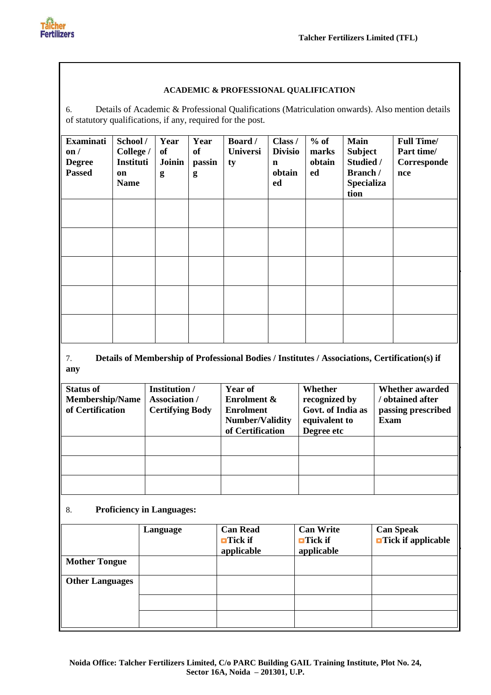

#### **ACADEMIC & PROFESSIONAL QUALIFICATION**

6. Details of Academic & Professional Qualifications (Matriculation onwards). Also mention details of statutory qualifications, if any, required for the post.

| <b>Examinati</b><br>$\mathbf{on}/$<br><b>Degree</b><br><b>Passed</b> | School/<br>College /<br>Instituti<br>on<br><b>Name</b> | Year<br>of<br>Joinin<br>g | Year<br>of<br>passin<br>g | <b>Board</b> /<br><b>Universi</b><br>ty | Class /<br><b>Divisio</b><br>$\mathbf n$<br>obtain<br>ed | $%$ of<br>marks<br>obtain<br>ed | <b>Main</b><br><b>Subject</b><br>Studied /<br>Branch /<br><b>Specializa</b><br>tion | <b>Full Time/</b><br>Part time/<br>Corresponde<br>nce |
|----------------------------------------------------------------------|--------------------------------------------------------|---------------------------|---------------------------|-----------------------------------------|----------------------------------------------------------|---------------------------------|-------------------------------------------------------------------------------------|-------------------------------------------------------|
|                                                                      |                                                        |                           |                           |                                         |                                                          |                                 |                                                                                     |                                                       |
|                                                                      |                                                        |                           |                           |                                         |                                                          |                                 |                                                                                     |                                                       |
|                                                                      |                                                        |                           |                           |                                         |                                                          |                                 |                                                                                     |                                                       |
|                                                                      |                                                        |                           |                           |                                         |                                                          |                                 |                                                                                     |                                                       |
|                                                                      |                                                        |                           |                           |                                         |                                                          |                                 |                                                                                     |                                                       |

### 7. **Details of Membership of Professional Bodies / Institutes / Associations, Certification(s) if any**

| <b>Status of</b><br><b>Membership/Name</b><br>of Certification | <b>Institution</b> /<br>Association /<br><b>Certifying Body</b> | Year of<br><b>Enrolment &amp;</b><br><b>Enrolment</b><br><b>Number/Validity</b><br>of Certification | Whether<br>recognized by<br>Govt. of India as<br>equivalent to<br>Degree etc | <b>Whether awarded</b><br>/ obtained after<br>passing prescribed<br>Exam |
|----------------------------------------------------------------|-----------------------------------------------------------------|-----------------------------------------------------------------------------------------------------|------------------------------------------------------------------------------|--------------------------------------------------------------------------|
|                                                                |                                                                 |                                                                                                     |                                                                              |                                                                          |
|                                                                |                                                                 |                                                                                                     |                                                                              |                                                                          |
|                                                                |                                                                 |                                                                                                     |                                                                              |                                                                          |

### 8. **Proficiency in Languages:**

|                        | Language | <b>Can Read</b><br>$\blacksquare$ Tick if<br>applicable | <b>Can Write</b><br>$\blacksquare$ Tick if<br>applicable | <b>Can Speak</b><br>$\blacksquare$ Tick if applicable |
|------------------------|----------|---------------------------------------------------------|----------------------------------------------------------|-------------------------------------------------------|
| <b>Mother Tongue</b>   |          |                                                         |                                                          |                                                       |
| <b>Other Languages</b> |          |                                                         |                                                          |                                                       |
|                        |          |                                                         |                                                          |                                                       |
|                        |          |                                                         |                                                          |                                                       |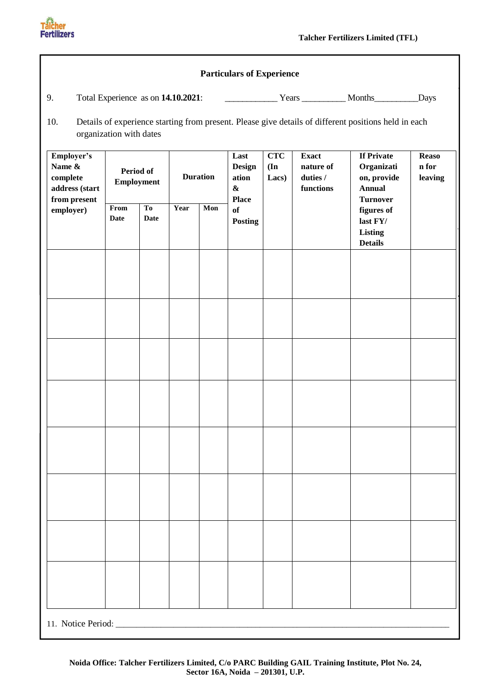

|                                                                    |                                |                               |                 |     | <b>Particulars of Experience</b>                             |                            |                                                    |                                                                                                      |                                  |  |
|--------------------------------------------------------------------|--------------------------------|-------------------------------|-----------------|-----|--------------------------------------------------------------|----------------------------|----------------------------------------------------|------------------------------------------------------------------------------------------------------|----------------------------------|--|
| 9.                                                                 |                                |                               |                 |     |                                                              |                            |                                                    |                                                                                                      |                                  |  |
| 10.                                                                | organization with dates        |                               |                 |     |                                                              |                            |                                                    | Details of experience starting from present. Please give details of different positions held in each |                                  |  |
| Employer's<br>Name &<br>complete<br>address (start<br>from present | Period of<br><b>Employment</b> |                               | <b>Duration</b> |     | Last<br><b>Design</b><br>ation<br>$\pmb{\&}$<br><b>Place</b> | <b>CTC</b><br>(In<br>Lacs) | <b>Exact</b><br>nature of<br>duties /<br>functions | <b>If Private</b><br>Organizati<br>on, provide<br><b>Annual</b>                                      | <b>Reaso</b><br>n for<br>leaving |  |
| employer)                                                          | From<br><b>Date</b>            | T <sub>o</sub><br><b>Date</b> | Year            | Mon | of<br><b>Posting</b>                                         |                            |                                                    | <b>Turnover</b><br>figures of<br>last FY/<br><b>Listing</b><br><b>Details</b>                        |                                  |  |
|                                                                    |                                |                               |                 |     |                                                              |                            |                                                    |                                                                                                      |                                  |  |
|                                                                    |                                |                               |                 |     |                                                              |                            |                                                    |                                                                                                      |                                  |  |
|                                                                    |                                |                               |                 |     |                                                              |                            |                                                    |                                                                                                      |                                  |  |
|                                                                    |                                |                               |                 |     |                                                              |                            |                                                    |                                                                                                      |                                  |  |
|                                                                    |                                |                               |                 |     |                                                              |                            |                                                    |                                                                                                      |                                  |  |
|                                                                    |                                |                               |                 |     |                                                              |                            |                                                    |                                                                                                      |                                  |  |
|                                                                    |                                |                               |                 |     |                                                              |                            |                                                    |                                                                                                      |                                  |  |
|                                                                    |                                |                               |                 |     |                                                              |                            |                                                    |                                                                                                      |                                  |  |
|                                                                    |                                |                               |                 |     |                                                              |                            |                                                    |                                                                                                      |                                  |  |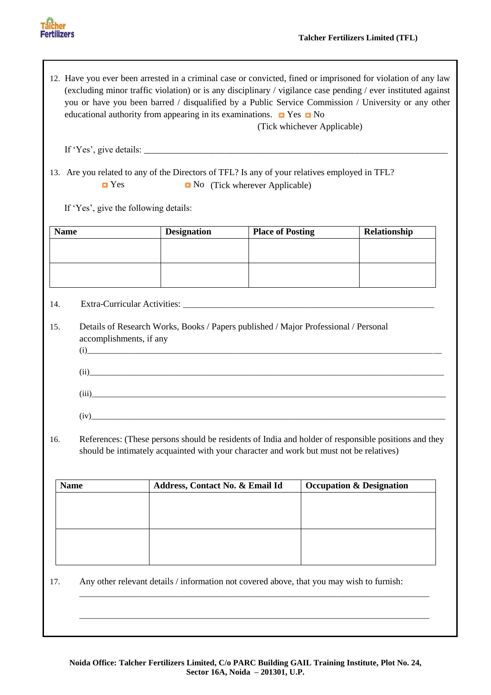

12. Have you ever been arrested in a criminal case or convicted, fined or imprisoned for violation of any law (excluding minor traffic violation) or is any disciplinary / vigilance case pending / ever instituted against you or have you been barred / disqualified by a Public Service Commission / University or any other educational authority from appearing in its examinations.  $\Box$  Yes  $\Box$  No

(Tick whichever Applicable)

If 'Yes', give details:

13. Are you related to any of the Directors of TFL? Is any of your relatives employed in TFL?  $\blacksquare$  Yes  $\blacksquare$  No (Tick wherever Applicable)

If 'Yes', give the following details:

| <b>Name</b> |                         | <b>Designation</b> | <b>Place of Posting</b>                                                                                                                                                                                                                               | Relationship |
|-------------|-------------------------|--------------------|-------------------------------------------------------------------------------------------------------------------------------------------------------------------------------------------------------------------------------------------------------|--------------|
|             |                         |                    |                                                                                                                                                                                                                                                       |              |
|             |                         |                    |                                                                                                                                                                                                                                                       |              |
|             |                         |                    |                                                                                                                                                                                                                                                       |              |
|             |                         |                    |                                                                                                                                                                                                                                                       |              |
| 14.         |                         |                    |                                                                                                                                                                                                                                                       |              |
| 15.         |                         |                    | Details of Research Works, Books / Papers published / Major Professional / Personal                                                                                                                                                                   |              |
|             | accomplishments, if any |                    |                                                                                                                                                                                                                                                       |              |
|             |                         |                    | $(i)$ and $(i)$ and $(i)$ and $(i)$ and $(i)$ and $(i)$ and $(i)$ and $(i)$ and $(i)$ and $(i)$ and $(i)$ and $(i)$ and $(i)$ and $(i)$ and $(i)$ and $(i)$ and $(i)$ and $(i)$ and $(i)$ and $(i)$ and $(i)$ and $(i)$ and $(i)$ and $(i)$ and $(i)$ |              |
|             |                         |                    | (ii)                                                                                                                                                                                                                                                  |              |
|             |                         |                    |                                                                                                                                                                                                                                                       |              |
|             |                         |                    |                                                                                                                                                                                                                                                       |              |
|             |                         | (iv)               |                                                                                                                                                                                                                                                       |              |
|             |                         |                    |                                                                                                                                                                                                                                                       |              |

16. References: (These persons should be residents of India and holder of responsible positions and they should be intimately acquainted with your character and work but must not be relatives)

| <b>Name</b> | Address, Contact No. & Email Id | <b>Occupation &amp; Designation</b> |
|-------------|---------------------------------|-------------------------------------|
|             |                                 |                                     |
|             |                                 |                                     |
|             |                                 |                                     |
|             |                                 |                                     |
|             |                                 |                                     |
|             |                                 |                                     |

17. Any other relevant details / information not covered above, that you may wish to furnish:

\_\_\_\_\_\_\_\_\_\_\_\_\_\_\_\_\_\_\_\_\_\_\_\_\_\_\_\_\_\_\_\_\_\_\_\_\_\_\_\_\_\_\_\_\_\_\_\_\_\_\_\_\_\_\_\_\_\_\_\_\_\_\_\_\_\_\_\_\_\_\_\_\_\_\_\_\_\_\_\_\_\_\_\_\_

\_\_\_\_\_\_\_\_\_\_\_\_\_\_\_\_\_\_\_\_\_\_\_\_\_\_\_\_\_\_\_\_\_\_\_\_\_\_\_\_\_\_\_\_\_\_\_\_\_\_\_\_\_\_\_\_\_\_\_\_\_\_\_\_\_\_\_\_\_\_\_\_\_\_\_\_\_\_\_\_\_\_\_\_\_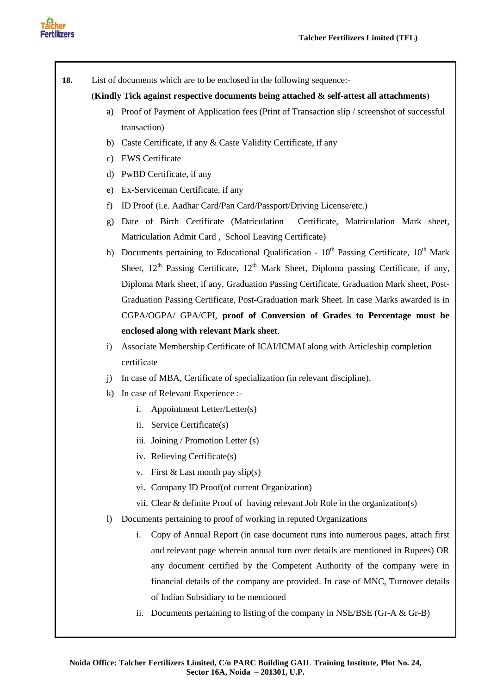



**18.** List of documents which are to be enclosed in the following sequence:-

#### (**Kindly Tick against respective documents being attached & self-attest all attachments**)

- a) Proof of Payment of Application fees (Print of Transaction slip / screenshot of successful transaction)
- b) Caste Certificate, if any & Caste Validity Certificate, if any
- c) EWS Certificate
- d) PwBD Certificate, if any
- e) Ex-Serviceman Certificate, if any
- f) ID Proof (i.e. Aadhar Card/Pan Card/Passport/Driving License/etc.)
- g) Date of Birth Certificate (Matriculation Certificate, Matriculation Mark sheet, Matriculation Admit Card , School Leaving Certificate)
- h) Documents pertaining to Educational Qualification  $10<sup>th</sup>$  Passing Certificate,  $10<sup>th</sup>$  Mark Sheet,  $12<sup>th</sup>$  Passing Certificate,  $12<sup>th</sup>$  Mark Sheet, Diploma passing Certificate, if any, Diploma Mark sheet, if any, Graduation Passing Certificate, Graduation Mark sheet, Post-Graduation Passing Certificate, Post-Graduation mark Sheet. In case Marks awarded is in CGPA/OGPA/ GPA/CPI, **proof of Conversion of Grades to Percentage must be enclosed along with relevant Mark sheet**.
- i) Associate Membership Certificate of ICAI/ICMAI along with Articleship completion certificate
- j) In case of MBA, Certificate of specialization (in relevant discipline).
- k) In case of Relevant Experience :
	- i. Appointment Letter/Letter(s)
	- ii. Service Certificate(s)
	- iii. Joining / Promotion Letter (s)
	- iv. Relieving Certificate(s)
	- v. First  $& Last month pay slip(s)$
	- vi. Company ID Proof(of current Organization)
	- vii. Clear & definite Proof of having relevant Job Role in the organization(s)
- l) Documents pertaining to proof of working in reputed Organizations
	- i. Copy of Annual Report (in case document runs into numerous pages, attach first and relevant page wherein annual turn over details are mentioned in Rupees) OR any document certified by the Competent Authority of the company were in financial details of the company are provided. In case of MNC, Turnover details of Indian Subsidiary to be mentioned
	- ii. Documents pertaining to listing of the company in NSE/BSE (Gr-A  $&$  Gr-B)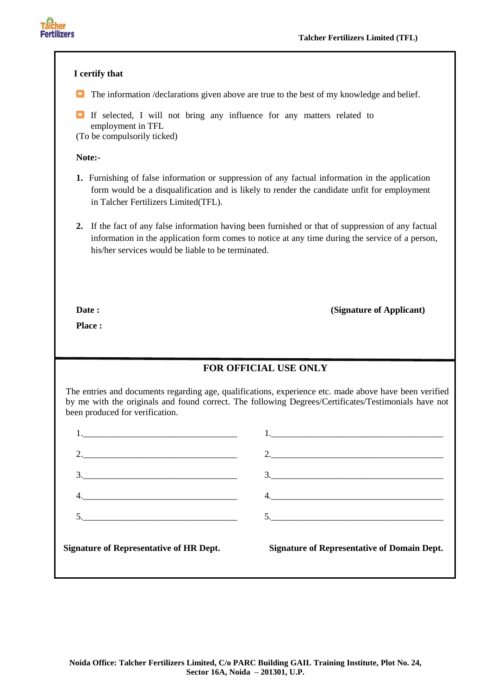

| I certify that                                                                                                                                                                                                                                                                                                                                                                                                                                                                   |                                                                                                                                                                                                                |
|----------------------------------------------------------------------------------------------------------------------------------------------------------------------------------------------------------------------------------------------------------------------------------------------------------------------------------------------------------------------------------------------------------------------------------------------------------------------------------|----------------------------------------------------------------------------------------------------------------------------------------------------------------------------------------------------------------|
| œ.                                                                                                                                                                                                                                                                                                                                                                                                                                                                               | The information /declarations given above are true to the best of my knowledge and belief.                                                                                                                     |
| o.<br>If selected, I will not bring any influence for any matters related to<br>employment in TFL<br>(To be compulsorily ticked)                                                                                                                                                                                                                                                                                                                                                 |                                                                                                                                                                                                                |
| Note:-                                                                                                                                                                                                                                                                                                                                                                                                                                                                           |                                                                                                                                                                                                                |
| in Talcher Fertilizers Limited(TFL).                                                                                                                                                                                                                                                                                                                                                                                                                                             | 1. Furnishing of false information or suppression of any factual information in the application<br>form would be a disqualification and is likely to render the candidate unfit for employment                 |
| his/her services would be liable to be terminated.                                                                                                                                                                                                                                                                                                                                                                                                                               | 2. If the fact of any false information having been furnished or that of suppression of any factual<br>information in the application form comes to notice at any time during the service of a person,         |
| Date:<br>Place:                                                                                                                                                                                                                                                                                                                                                                                                                                                                  | (Signature of Applicant)                                                                                                                                                                                       |
|                                                                                                                                                                                                                                                                                                                                                                                                                                                                                  | <b>FOR OFFICIAL USE ONLY</b>                                                                                                                                                                                   |
| been produced for verification.                                                                                                                                                                                                                                                                                                                                                                                                                                                  | The entries and documents regarding age, qualifications, experience etc. made above have been verified<br>by me with the originals and found correct. The following Degrees/Certificates/Testimonials have not |
|                                                                                                                                                                                                                                                                                                                                                                                                                                                                                  |                                                                                                                                                                                                                |
| 2.                                                                                                                                                                                                                                                                                                                                                                                                                                                                               | 2.                                                                                                                                                                                                             |
| $\begin{array}{c}\n3.\n\end{array}$                                                                                                                                                                                                                                                                                                                                                                                                                                              | $\begin{array}{c}\n3.\n\end{array}$                                                                                                                                                                            |
| $\begin{tabular}{c} 4. & \begin{tabular}{@{}c@{}} \multicolumn{3}{c}{} \multicolumn{3}{c}{} \multicolumn{3}{c}{} \multicolumn{3}{c}{} \multicolumn{3}{c}{} \multicolumn{3}{c}{} \multicolumn{3}{c}{} \multicolumn{3}{c}{} \multicolumn{3}{c}{} \multicolumn{3}{c}{} \multicolumn{3}{c}{} \multicolumn{3}{c}{} \multicolumn{3}{c}{} \multicolumn{3}{c}{} \multicolumn{3}{c}{} \multicolumn{3}{c}{} \multicolumn{3}{c}{} \multicolumn{3}{c}{} \multicolumn{3}{c}{} \multicolumn{3$ |                                                                                                                                                                                                                |
| $\begin{array}{c}\n5.\n\end{array}$                                                                                                                                                                                                                                                                                                                                                                                                                                              |                                                                                                                                                                                                                |
| <b>Signature of Representative of HR Dept.</b>                                                                                                                                                                                                                                                                                                                                                                                                                                   | <b>Signature of Representative of Domain Dept.</b>                                                                                                                                                             |